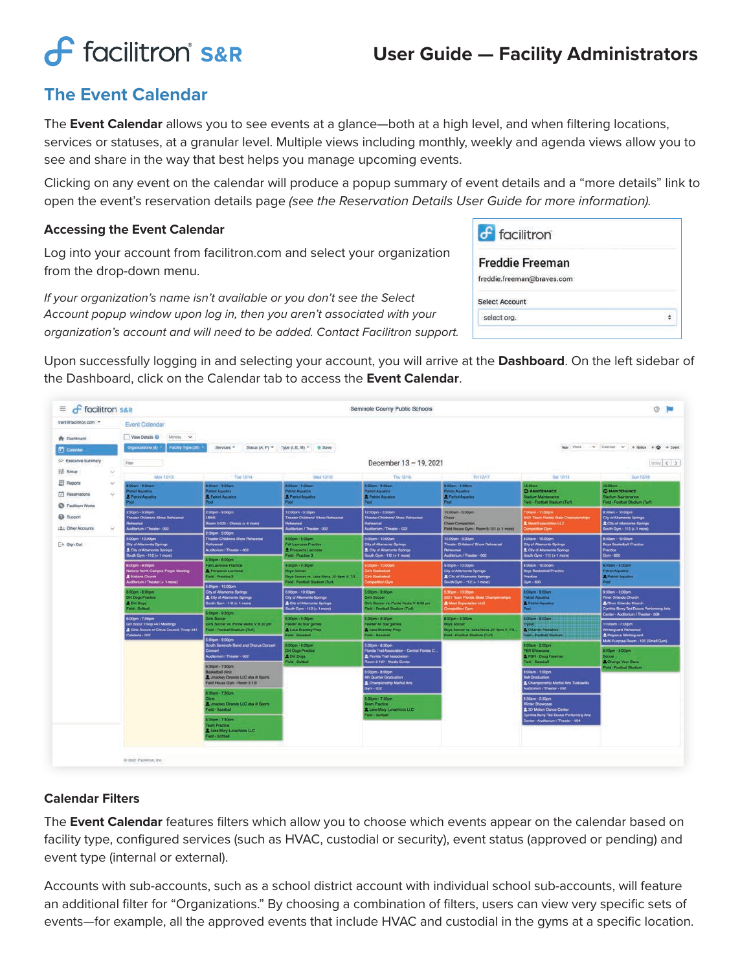# **f** facilitron S&R

## **User Guide — Facility Administrators**

### **The Event Calendar**

The **Event Calendar** allows you to see events at a glance—both at a high level, and when filtering locations, services or statuses, at a granular level. Multiple views including monthly, weekly and agenda views allow you to see and share in the way that best helps you manage upcoming events.

Clicking on any event on the calendar will produce a popup summary of event details and a "more details" link to open the event's reservation details page *(see the Reservation Details User Guide for more information).*

#### **Accessing the Event Calendar**

Log into your account from facilitron.com and select your organization from the drop-down menu.

*If your organization's name isn't available or you don't see the Select Account popup window upon log in, then you aren't associated with your organization's account and will need to be added. Contact Facilitron support.*

Upon successfully logging in and selecting your account, you will arrive at the **Dashboard**. On the left sidebar of the Dashboard, click on the Calendar tab to access the **Event Calendar**.

| $\equiv$<br><b>f</b> facilitron S&R                      |                                                                                                                      |                                                                                                                                                  |                                                                                                                      | Seminole County Public Schools                                                                                |                                                                                                                                |                                                                                                                                         | ② 画                                                                                                                 |  |  |  |
|----------------------------------------------------------|----------------------------------------------------------------------------------------------------------------------|--------------------------------------------------------------------------------------------------------------------------------------------------|----------------------------------------------------------------------------------------------------------------------|---------------------------------------------------------------------------------------------------------------|--------------------------------------------------------------------------------------------------------------------------------|-----------------------------------------------------------------------------------------------------------------------------------------|---------------------------------------------------------------------------------------------------------------------|--|--|--|
| trent@facilitron.com .*                                  | <b>Event Calendar</b>                                                                                                |                                                                                                                                                  |                                                                                                                      |                                                                                                               |                                                                                                                                |                                                                                                                                         |                                                                                                                     |  |  |  |
| <b>A</b> Dashboard                                       | View Details O<br>Monday V.                                                                                          |                                                                                                                                                  |                                                                                                                      |                                                                                                               |                                                                                                                                |                                                                                                                                         |                                                                                                                     |  |  |  |
| C Calendar                                               | (II) anotaziona (II)                                                                                                 | $\vee$ Cliendar $\vee$ + Notce + $\bigcirc$ + Event<br>Facility Type (35)<br>Year Vines<br>Services .<br>Status (A, P) = Type (I, E, M) = + Save |                                                                                                                      |                                                                                                               |                                                                                                                                |                                                                                                                                         |                                                                                                                     |  |  |  |
| 52 Executive Summary                                     | <b>Filter</b>                                                                                                        |                                                                                                                                                  |                                                                                                                      | December 13 - 19, 2021                                                                                        |                                                                                                                                |                                                                                                                                         | $\text{max} \leqslant 3$                                                                                            |  |  |  |
| TE Setup                                                 | Mon 12/13                                                                                                            | Tue 12/14                                                                                                                                        | Frt 12/17<br>Wed 12/15<br>Thu: 10/16                                                                                 |                                                                                                               |                                                                                                                                | Sat 12/18                                                                                                                               | San 12/19                                                                                                           |  |  |  |
| El Reports<br>w                                          | :00am - 9:00am                                                                                                       | 8:00am - 9:00am                                                                                                                                  | 8.00am - 9.00am                                                                                                      | 8.00am - 9.00am                                                                                               | 8.00am - 9.00am                                                                                                                | 12.00mm                                                                                                                                 | 12.00am                                                                                                             |  |  |  |
| ⊡<br>Reservations<br>$\sim$<br><b>C</b> Facilitron Works | abiot Aquatice<br><b>A</b> Patriot Aquatics<br><b>bod</b>                                                            | <b>Patriot Aquatics</b><br><b>2</b> Patriot Aquatics<br>Pool                                                                                     | <b>Patriot Aquatics</b><br><b>2</b> Patriot Aquatics<br>Pool                                                         | <b>Pattot Aquatics</b><br>2 Patriot Aquatics<br>Pool                                                          | <b>Patriot Aquatics</b><br><b>&amp; Patriot Aquatics</b><br>Pool                                                               | <b>C MAINTENANCE</b><br>Stadium Maintenance<br>Field - Football Stadium (Turf)                                                          | <b>C MAINTENANCE</b><br>Stadium Maintenance<br>Field - Football Stadium (Turf)                                      |  |  |  |
| <b>Ca</b> Support<br>: A: Other Accounts<br>w            | 2:30pm - 5:00pm<br>Theater Childrens Show Rehearsal<br>Rehearsal<br>Auditorium / Theater - 002                       | 2:00pm - 9:00pm<br><b>LEPS</b><br>Room 3-025 - Chorus (+ 4 more)<br>2:30pm - 5:00pm                                                              | 12:00pm - 3:30pm<br>Theater Childrens' Show Rehearsal<br><b>Rehearsal</b><br>Auditorium / Theater - 002              | 12:00pm - 3:30pm<br>Theater Childrens' Show Rehearsal<br>Reheersal<br>Auditorium / Theater - 002              | 10:00am - 5:00pm<br><b>Cheer</b><br>Cheer Competition<br>Field House Gym - Room 5-101 (+ 1 more)                               | 7:00am - 11:30pm<br>1021 Team Florida State Championships<br><b>2</b> Meet Expectation LLC<br>Competition Gym                           | 8:00am - 10:00pm<br>City of Altamonia Springs<br>2 City of Altamonte Springs<br>South Cym - 112 (+ 1 more)          |  |  |  |
| $\rightarrow$ Sign Out                                   | 5.00pm - 10.00pm<br>City of Altamonte Springs<br>City of Altamonte Springs<br>South Gym - 112 (+ 1 more)             | Theater Childrens Show Rehearsal<br>Rohoarsal<br>Auditorium / Theater - 002<br>4:00pm - 6:00pm                                                   | 4.00pm - 6.00pm<br><b>Fall Lacrosse Practice</b><br>2 Prospects Lacrosse<br>Field - Practice 3                       | 5.00pm - 10.00pm<br>City of Altamonte Springs<br>City of Altamonte Springs<br>South Gym - 112 (+ 1 more)      | 12:00pm - 3:30pm<br>Theater Childrens' Show Rehearsal<br>Rehearsal<br>Auditorium / Theater - 002                               | 8.00am - 10.00pm<br><b>City of Alternonte Springs</b><br>City of Altamonte Springs<br>South Gym - 112 (+ 1 more)                        | 8:00am - 10:00am<br><b>Boys Basketball Practice</b><br>Practice<br>Gym - 600                                        |  |  |  |
|                                                          | 6:00pm - 9:00pm<br>Nations North Campus Prayer Meeting<br><b>2</b> Nations Church<br>Auditorium / Theater (+ 1 more) | <b>Fall Lacrosse Practice</b><br>2 Prospects Lacrosse<br>Field - Practice 3                                                                      | 4.30pm - 9.30pm<br><b>Boys Soccer</b><br>Boys Soccer vs. Lake Nona JV: 6pm V: 7:3<br>Field - Football Stadium (Turf) | 5:00pm - 10:00pm<br><b>Girls Basketball</b><br><b>Girls Basketball</b><br>Competition Gym                     | 5:00pm - 10:00pm<br>City of Altamonte Springs<br>£ City of Altamonte Springs<br>South Gym - 112 (+ 1 more)                     | 8:00am - 10:00am<br><b>Boys Basketball Practice</b><br><b>Practice</b><br>Gym - 600                                                     | 8.00am - 9.00am<br><b>Patriot Aquatice</b><br><b>A</b> Patriot Aquatics<br>Pool:                                    |  |  |  |
|                                                          | 6.00pm - 8.00pm<br><b>Dirt Dogs Practice</b><br><b>A</b> Dirt Dogs<br><b>Field - Softball</b>                        | 5:00pm - 10:00pm<br>City of Altamonte Springs<br>2. City of Altamonte Springs<br>South Gym - 112 (+ 1 more)                                      | 5:00pm - 10:00pm<br>City of Altamonte Springs<br>& City of Altamonie Springs<br>South Gym - 112 (+ 1 more)           | 5.00pm - 9.30pm<br>Girls Soccer<br>Girls Soccer vs. Ponte Vedra V: 6:30 pm<br>Field - Football Stadium (Turf) | 5:30pm - 10:00pm<br>2021 Team Florida State Championships<br>& Meet Expectation LLC<br><b>Competition Gym</b>                  | 8:00am - 9:00am<br><b>Patriot Aquatics</b><br><b>2</b> Pablot Aquatics<br>Pool                                                          | 9:30am - 3:00pm<br>River Orlando Church<br><b>2</b> River Orlando Church<br>Cynthia Berry Ted Douce Performing Arts |  |  |  |
|                                                          | 6.00pm - 7.00pm<br>Girl Scout Troco 441 Meetings<br>2 Girls Scouts of Citrus Council, Troop 441<br>Cafeteria - 002   | 5:00pm - 9:30pm<br>Girls Soccer<br>Girls Soccer vs. Ponte Vedra V: 6:30 pm<br>Field - Football Stadium (Turf)                                    | 5:30pm - 9:30pm<br>Feeder All Star games<br>& Lake Brantley Prep<br><b>Field - Baseball</b>                          | 5:30pm - 9:30pm<br>Feeder All Star games<br>& Lake Brantley Prep<br>Field - Baseball                          | 6:00pm - 9:30pm<br><b>Boys Soccer</b><br>Tryout<br>Boys Soccer vs. Lake Nona JV: 6pm V. 7-3<br>Field - Football Stadium (Turf) | è coam - intolam<br>& Ortando Predators<br>Field - Footbal Stadium                                                                      | Center - Auditorium / Theater - 004<br>11:00am - 7:00pm<br>Winterguard Rehearsal<br>& Pegasus Winterguard           |  |  |  |
|                                                          |                                                                                                                      | 5:00pm - 9:00pm<br><b>South Seminole Band and Chorus Concert</b><br>Concert<br>Luditorium / Theater - 002                                        | 6.00pm - 8.00pm<br>Dirt Dogs Practice<br><b>A</b> Dirt Dogs                                                          | 5:30pm - #:30pm<br>Florida Trail Association - Central Florida C<br><b>2</b> Florida Trail Association        |                                                                                                                                | $9.00$ am - $2.00$ pm<br><b>PBR Showcase</b><br>& PBR - Doug Freeman                                                                    | Multi-Purpose Room - 102 (Small Gym)<br>6:00pm - 8:00pm<br><b>Soccer</b>                                            |  |  |  |
|                                                          |                                                                                                                      | 6:30pm - 7:30pm<br><b>Baskatball</b> clinic<br>A Jmackey Orlando LLC dbs @ Sports<br>Field House Gym - Room 5-101                                | Field - Softhall                                                                                                     | Room 2-107 - Modia Center<br>6.00pm - 8.00pm<br>4th Quarter Graduation<br>Championship Martial Arts           |                                                                                                                                | <b>Field - Baseball</b><br>9:00am - 1:00pm<br><b>Belt Graduation</b><br>2. Championship Martial Arts Tuskawilla                         | & Change Your Stars<br>Field - Football Stadium                                                                     |  |  |  |
|                                                          |                                                                                                                      | 5.30pm - 7.30pm<br><b>STORY</b><br>Soorts (Stando LLC dba il) Sports<br><b>Teld - Baseball</b>                                                   |                                                                                                                      | Gym - 002<br>100pm - 7:30pm<br>Team Practice<br>Liake Mary Lunachicks LLC<br>Field - Softball                 |                                                                                                                                | Auditorium / Theater - 002<br>9:30am - 2:30pm<br>Winter Showcase<br>2 3D Motion Dance Center<br>Cynthia Berry Ted Douce Parforming Arts |                                                                                                                     |  |  |  |
|                                                          |                                                                                                                      | $30$ pm - 7:30pm<br><b>Team Practice</b><br>& Lake Mary Lunachicks LLC<br><b>Field - Softball</b>                                                |                                                                                                                      |                                                                                                               |                                                                                                                                | Center - Auditorium / Theater - 004                                                                                                     |                                                                                                                     |  |  |  |

#### **Calendar Filters**

The **Event Calendar** features filters which allow you to choose which events appear on the calendar based on facility type, configured services (such as HVAC, custodial or security), event status (approved or pending) and event type (internal or external).

Accounts with sub-accounts, such as a school district account with individual school sub-accounts, will feature an additional filter for "Organizations." By choosing a combination of filters, users can view very specific sets of events—for example, all the approved events that include HVAC and custodial in the gyms at a specific location.

| $f$ facilitron             |  |
|----------------------------|--|
| <b>Freddie Freeman</b>     |  |
| freddie.freeman@braves.com |  |
| <b>Select Account</b>      |  |
| select org.                |  |